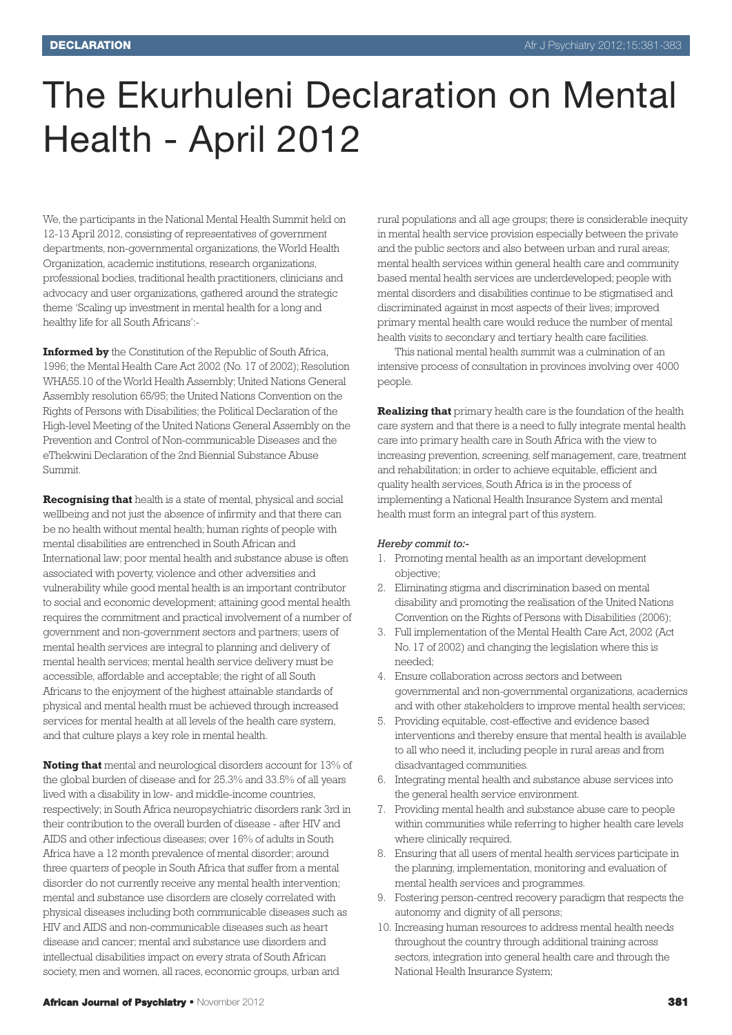# The Ekurhuleni Declaration on Mental Health - April 2012

We, the participants in the National Mental Health Summit held on 12-13 April 2012, consisting of representatives of government departments, non-governmental organizations, the World Health Organization, academic institutions, research organizations, professional bodies, traditional health practitioners, clinicians and advocacy and user organizations, gathered around the strategic theme 'Scaling up investment in mental health for a long and healthy life for all South Africans':-

**Informed by** the Constitution of the Republic of South Africa, 1996; the Mental Health Care Act 2002 (No. 17 of 2002); Resolution WHA55.10 of the World Health Assembly; United Nations General Assembly resolution 65/95; the United Nations Convention on the Rights of Persons with Disabilities; the Political Declaration of the High-level Meeting of the United Nations General Assembly on the Prevention and Control of Non-communicable Diseases and the eThekwini Declaration of the 2nd Biennial Substance Abuse Summit.

**Recognising that** health is a state of mental, physical and social wellbeing and not just the absence of infirmity and that there can be no health without mental health; human rights of people with mental disabilities are entrenched in South African and International law; poor mental health and substance abuse is often associated with poverty, violence and other adversities and vulnerability while good mental health is an important contributor to social and economic development; attaining good mental health requires the commitment and practical involvement of a number of government and non-government sectors and partners; users of mental health services are integral to planning and delivery of mental health services; mental health service delivery must be accessible, affordable and acceptable; the right of all South Africans to the enjoyment of the highest attainable standards of physical and mental health must be achieved through increased services for mental health at all levels of the health care system, and that culture plays a key role in mental health.

**Noting that** mental and neurological disorders account for 13% of the global burden of disease and for 25.3% and 33.5% of all years lived with a disability in low- and middle-income countries, respectively; in South Africa neuropsychiatric disorders rank 3rd in their contribution to the overall burden of disease - after HIV and AIDS and other infectious diseases; over 16% of adults in South Africa have a 12 month prevalence of mental disorder; around three quarters of people in South Africa that suffer from a mental disorder do not currently receive any mental health intervention; mental and substance use disorders are closely correlated with physical diseases including both communicable diseases such as HIV and AIDS and non-communicable diseases such as heart disease and cancer; mental and substance use disorders and intellectual disabilities impact on every strata of South African society, men and women, all races, economic groups, urban and

rural populations and all age groups; there is considerable inequity in mental health service provision especially between the private and the public sectors and also between urban and rural areas; mental health services within general health care and community based mental health services are underdeveloped; people with mental disorders and disabilities continue to be stigmatised and discriminated against in most aspects of their lives; improved primary mental health care would reduce the number of mental health visits to secondary and tertiary health care facilities.

This national mental health summit was a culmination of an intensive process of consultation in provinces involving over 4000 people.

**Realizing that** primary health care is the foundation of the health care system and that there is a need to fully integrate mental health care into primary health care in South Africa with the view to increasing prevention, screening, self management, care, treatment and rehabilitation; in order to achieve equitable, efficient and quality health services, South Africa is in the process of implementing a National Health Insurance System and mental health must form an integral part of this system.

#### *Hereby commit to:-*

- 1. Promoting mental health as an important development objective;
- 2. Eliminating stigma and discrimination based on mental disability and promoting the realisation of the United Nations Convention on the Rights of Persons with Disabilities (2006);
- 3. Full implementation of the Mental Health Care Act, 2002 (Act No. 17 of 2002) and changing the legislation where this is needed;
- 4. Ensure collaboration across sectors and between governmental and non-governmental organizations, academics and with other stakeholders to improve mental health services;
- 5. Providing equitable, cost-effective and evidence based interventions and thereby ensure that mental health is available to all who need it, including people in rural areas and from disadvantaged communities.
- 6. Integrating mental health and substance abuse services into the general health service environment.
- 7. Providing mental health and substance abuse care to people within communities while referring to higher health care levels where clinically required.
- 8. Ensuring that all users of mental health services participate in the planning, implementation, monitoring and evaluation of mental health services and programmes.
- 9. Fostering person-centred recovery paradigm that respects the autonomy and dignity of all persons;
- 10. Increasing human resources to address mental health needs throughout the country through additional training across sectors, integration into general health care and through the National Health Insurance System;